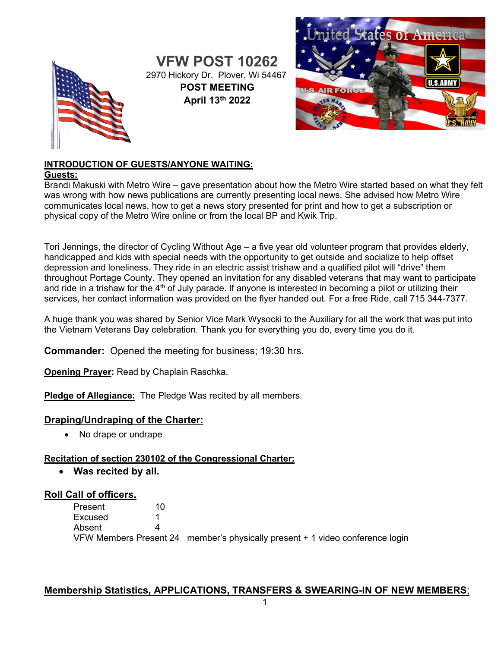

**VFW POST 10262** 2970 Hickory Dr. Plover, Wi 54467 **POST MEETING April 13th 2022**



### **INTRODUCTION OF GUESTS/ANYONE WAITING:**

#### **Guests:**

Brandi Makuski with Metro Wire – gave presentation about how the Metro Wire started based on what they felt was wrong with how news publications are currently presenting local news. She advised how Metro Wire communicates local news, how to get a news story presented for print and how to get a subscription or physical copy of the Metro Wire online or from the local BP and Kwik Trip.

Tori Jennings, the director of Cycling Without Age – a five year old volunteer program that provides elderly, handicapped and kids with special needs with the opportunity to get outside and socialize to help offset depression and loneliness. They ride in an electric assist trishaw and a qualified pilot will "drive" them throughout Portage County. They opened an invitation for any disabled veterans that may want to participate and ride in a trishaw for the 4<sup>th</sup> of July parade. If anyone is interested in becoming a pilot or utilizing their services, her contact information was provided on the flyer handed out. For a free Ride, call 715 344-7377.

A huge thank you was shared by Senior Vice Mark Wysocki to the Auxiliary for all the work that was put into the Vietnam Veterans Day celebration. Thank you for everything you do, every time you do it.

**Commander:** Opened the meeting for business; 19:30 hrs.

**Opening Prayer:** Read by Chaplain Raschka.

**Pledge of Allegiance:** The Pledge Was recited by all members.

### **Draping/Undraping of the Charter:**

• No drape or undrape

### **Recitation of section 230102 of the Congressional Charter:**

• **Was recited by all.**

### **Roll Call of officers.**

Present 10<br>Excused 1 **Excused** Absent 4 VFW Members Present 24 member's physically present + 1 video conference login

### **Membership Statistics, APPLICATIONS, TRANSFERS & SWEARING-IN OF NEW MEMBERS**;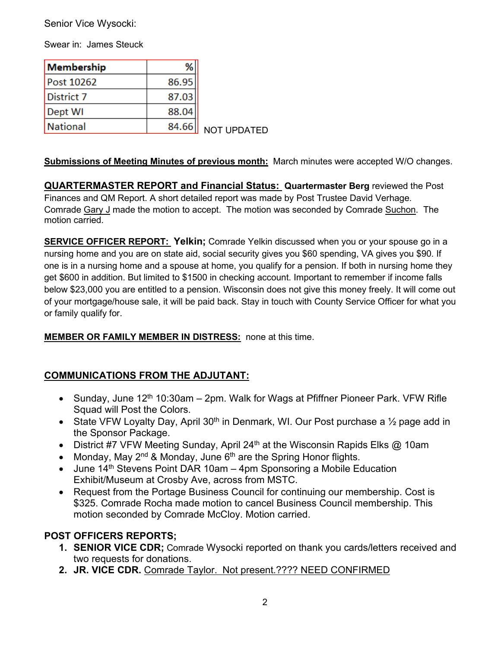Senior Vice Wysocki:

Swear in: James Steuck

| Membership | %     |                    |
|------------|-------|--------------------|
| Post 10262 | 86.95 |                    |
| District 7 | 87.03 |                    |
| Dept WI    | 88.04 |                    |
| National   | 84.66 | <b>NOT UPDATED</b> |

### **Submissions of Meeting Minutes of previous month:** March minutes were accepted W/O changes.

**QUARTERMASTER REPORT and Financial Status: Quartermaster Berg** reviewed the Post Finances and QM Report. A short detailed report was made by Post Trustee David Verhage. Comrade Gary J made the motion to accept. The motion was seconded by Comrade Suchon. The motion carried.

**SERVICE OFFICER REPORT: Yelkin;** Comrade Yelkin discussed when you or your spouse go in a nursing home and you are on state aid, social security gives you \$60 spending, VA gives you \$90. If one is in a nursing home and a spouse at home, you qualify for a pension. If both in nursing home they get \$600 in addition. But limited to \$1500 in checking account. Important to remember if income falls below \$23,000 you are entitled to a pension. Wisconsin does not give this money freely. It will come out of your mortgage/house sale, it will be paid back. Stay in touch with County Service Officer for what you or family qualify for.

### **MEMBER OR FAMILY MEMBER IN DISTRESS:** none at this time.

# **COMMUNICATIONS FROM THE ADJUTANT:**

- Sunday, June  $12<sup>th</sup> 10:30$ am 2pm. Walk for Wags at Pfiffner Pioneer Park. VFW Rifle Squad will Post the Colors.
- State VFW Loyalty Day, April 30<sup>th</sup> in Denmark, WI. Our Post purchase a  $\frac{1}{2}$  page add in the Sponsor Package.
- District #7 VFW Meeting Sunday, April 24<sup>th</sup> at the Wisconsin Rapids Elks @ 10am
- Monday, May  $2^{nd}$  & Monday, June  $6^{th}$  are the Spring Honor flights.
- June  $14<sup>th</sup>$  Stevens Point DAR 10am 4pm Sponsoring a Mobile Education Exhibit/Museum at Crosby Ave, across from MSTC.
- Request from the Portage Business Council for continuing our membership. Cost is \$325. Comrade Rocha made motion to cancel Business Council membership. This motion seconded by Comrade McCloy. Motion carried.

# **POST OFFICERS REPORTS;**

- **1. SENIOR VICE CDR;** Comrade Wysocki reported on thank you cards/letters received and two requests for donations.
- **2. JR. VICE CDR.** Comrade Taylor. Not present.???? NEED CONFIRMED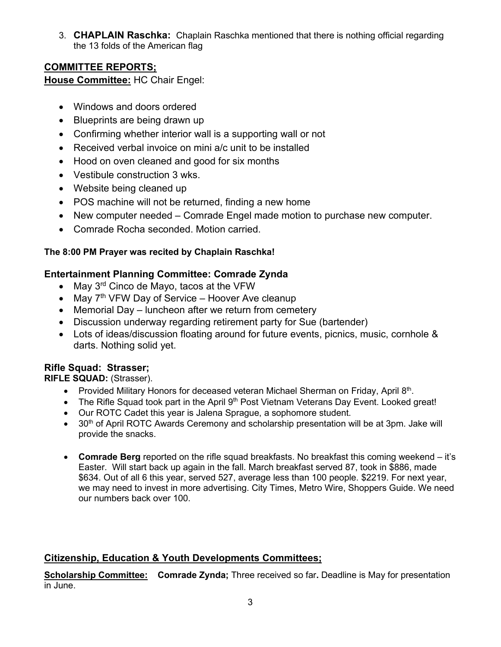3. **CHAPLAIN Raschka:** Chaplain Raschka mentioned that there is nothing official regarding the 13 folds of the American flag

# **COMMITTEE REPORTS;**

**House Committee:** HC Chair Engel:

- Windows and doors ordered
- Blueprints are being drawn up
- Confirming whether interior wall is a supporting wall or not
- Received verbal invoice on mini a/c unit to be installed
- Hood on oven cleaned and good for six months
- Vestibule construction 3 wks.
- Website being cleaned up
- POS machine will not be returned, finding a new home
- New computer needed Comrade Engel made motion to purchase new computer.
- Comrade Rocha seconded. Motion carried.

### **The 8:00 PM Prayer was recited by Chaplain Raschka!**

### **Entertainment Planning Committee: Comrade Zynda**

- May 3<sup>rd</sup> Cinco de Mayo, tacos at the VFW
- May  $7<sup>th</sup>$  VFW Day of Service Hoover Ave cleanup
- Memorial Day luncheon after we return from cemetery
- Discussion underway regarding retirement party for Sue (bartender)
- Lots of ideas/discussion floating around for future events, picnics, music, cornhole & darts. Nothing solid yet.

# **Rifle Squad: Strasser;**

**RIFLE SQUAD:** (Strasser).

- Provided Military Honors for deceased veteran Michael Sherman on Friday, April 8th.
- The Rifle Squad took part in the April 9<sup>th</sup> Post Vietnam Veterans Day Event. Looked great!
- Our ROTC Cadet this year is Jalena Sprague, a sophomore student.
- 30<sup>th</sup> of April ROTC Awards Ceremony and scholarship presentation will be at 3pm. Jake will provide the snacks.
- **Comrade Berg** reported on the rifle squad breakfasts. No breakfast this coming weekend it's Easter. Will start back up again in the fall. March breakfast served 87, took in \$886, made \$634. Out of all 6 this year, served 527, average less than 100 people. \$2219. For next year, we may need to invest in more advertising. City Times, Metro Wire, Shoppers Guide. We need our numbers back over 100.

# **Citizenship, Education & Youth Developments Committees;**

**Scholarship Committee: Comrade Zynda;** Three received so far**.** Deadline is May for presentation in June.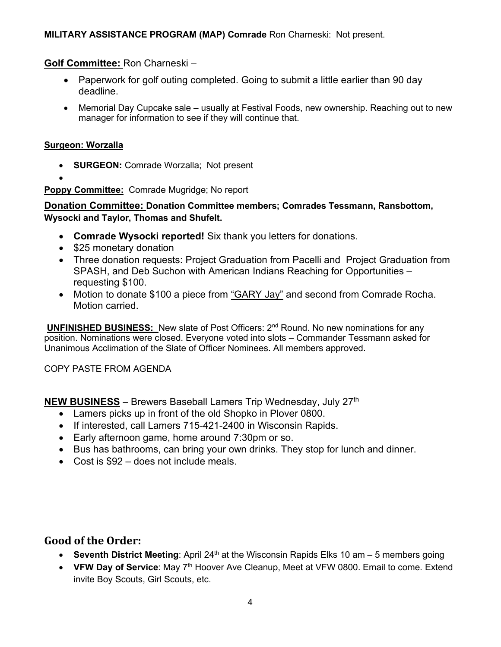### **MILITARY ASSISTANCE PROGRAM (MAP) Comrade** Ron Charneski: Not present.

#### **Golf Committee:** Ron Charneski –

- Paperwork for golf outing completed. Going to submit a little earlier than 90 day deadline.
- Memorial Day Cupcake sale usually at Festival Foods, new ownership. Reaching out to new manager for information to see if they will continue that.

#### **Surgeon: Worzalla**

- **SURGEON:** Comrade Worzalla; Not present
- •

**Poppy Committee:** Comrade Mugridge; No report

**Donation Committee: Donation Committee members; Comrades Tessmann, Ransbottom, Wysocki and Taylor, Thomas and Shufelt.**

- **Comrade Wysocki reported!** Six thank you letters for donations.
- \$25 monetary donation
- Three donation requests: Project Graduation from Pacelli and Project Graduation from SPASH, and Deb Suchon with American Indians Reaching for Opportunities – requesting \$100.
- Motion to donate \$100 a piece from "GARY Jay" and second from Comrade Rocha. Motion carried.

**UNFINISHED BUSINESS:** New slate of Post Officers: 2<sup>nd</sup> Round. No new nominations for any position. Nominations were closed. Everyone voted into slots – Commander Tessmann asked for Unanimous Acclimation of the Slate of Officer Nominees. All members approved.

COPY PASTE FROM AGENDA

**NEW BUSINESS** – Brewers Baseball Lamers Trip Wednesday, July 27th

- Lamers picks up in front of the old Shopko in Plover 0800.
- If interested, call Lamers 715-421-2400 in Wisconsin Rapids.
- Early afternoon game, home around 7:30pm or so.
- Bus has bathrooms, can bring your own drinks. They stop for lunch and dinner.
- Cost is \$92 does not include meals.

# **Good of the Order:**

- **Seventh District Meeting**: April 24<sup>th</sup> at the Wisconsin Rapids Elks 10 am 5 members going
- **VFW Day of Service**: May 7<sup>th</sup> Hoover Ave Cleanup, Meet at VFW 0800, Email to come. Extend invite Boy Scouts, Girl Scouts, etc.